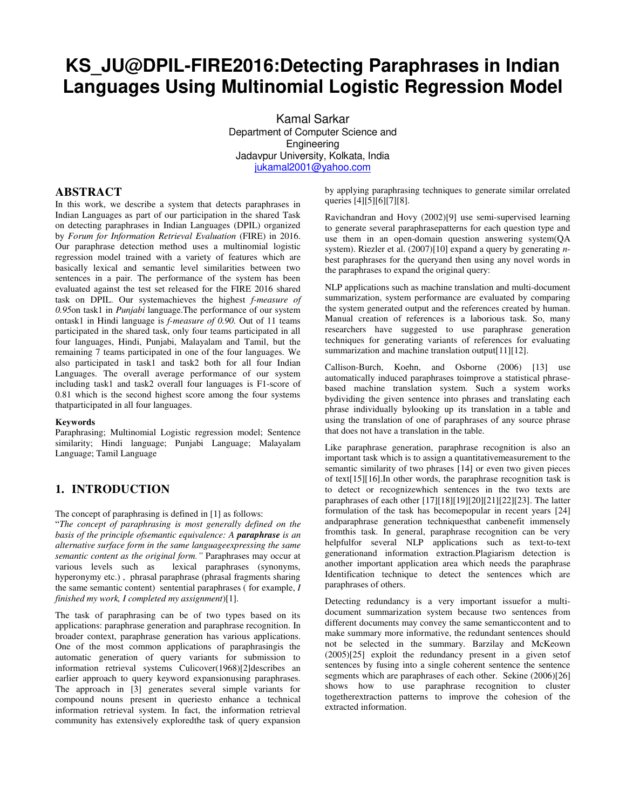# **KS\_JU@DPIL-FIRE2016:Detecting Paraphrases in Indian Languages Using Multinomial Logistic Regression Model**

Kamal Sarkar Department of Computer Science and Engineering Jadavpur University, Kolkata, India [jukamal2001@yahoo.com](mailto:jukamal2001@yahoo.com)

# **ABSTRACT**

In this work, we describe a system that detects paraphrases in Indian Languages as part of our participation in the shared Task on detecting paraphrases in Indian Languages (DPIL) organized by *Forum for Information Retrieval Evaluation* (FIRE) in 2016. Our paraphrase detection method uses a multinomial logistic regression model trained with a variety of features which are basically lexical and semantic level similarities between two sentences in a pair. The performance of the system has been evaluated against the test set released for the FIRE 2016 shared task on DPIL. Our systemachieves the highest *f-measure of 0.95*on task1 in *Punjabi* language.The performance of our system ontask1 in Hindi language is *f-measure of 0.90.* Out of 11 teams participated in the shared task, only four teams participated in all four languages, Hindi, Punjabi, Malayalam and Tamil, but the remaining 7 teams participated in one of the four languages. We also participated in task1 and task2 both for all four Indian Languages. The overall average performance of our system including task1 and task2 overall four languages is F1-score of 0.81 which is the second highest score among the four systems thatparticipated in all four languages.

#### **Keywords**

Paraphrasing; Multinomial Logistic regression model; Sentence similarity; Hindi language; Punjabi Language; Malayalam Language; Tamil Language

# **1. INTRODUCTION**

The concept of paraphrasing is defined in [1] as follows:

"*The concept of paraphrasing is most generally defined on the basis of the principle ofsemantic equivalence: A paraphrase is an alternative surface form in the same languageexpressing the same semantic content as the original form."* Paraphrases may occur at various levels such as lexical paraphrases (synonyms, hyperonymy etc.) , phrasal paraphrase (phrasal fragments sharing the same semantic content) sentential paraphrases ( for example, *I finished my work, I completed my assignment*)[1].

The task of paraphrasing can be of two types based on its applications: paraphrase generation and paraphrase recognition. In broader context, paraphrase generation has various applications. One of the most common applications of paraphrasingis the automatic generation of query variants for submission to information retrieval systems Culicover(1968)[2]describes an earlier approach to query keyword expansionusing paraphrases. The approach in [3] generates several simple variants for compound nouns present in queriesto enhance a technical information retrieval system. In fact, the information retrieval community has extensively exploredthe task of query expansion

by applying paraphrasing techniques to generate similar orrelated queries [4][5][6][7][8].

Ravichandran and Hovy (2002)[9] use semi-supervised learning to generate several paraphrasepatterns for each question type and use them in an open-domain question answering system(QA system). Riezler et al. (2007)[10] expand a query by generating *n*best paraphrases for the queryand then using any novel words in the paraphrases to expand the original query:

NLP applications such as machine translation and multi-document summarization, system performance are evaluated by comparing the system generated output and the references created by human. Manual creation of references is a laborious task. So, many researchers have suggested to use paraphrase generation techniques for generating variants of references for evaluating summarization and machine translation output[11][12].

Callison-Burch, Koehn, and Osborne (2006) [13] use automatically induced paraphrases toimprove a statistical phrasebased machine translation system. Such a system works bydividing the given sentence into phrases and translating each phrase individually bylooking up its translation in a table and using the translation of one of paraphrases of any source phrase that does not have a translation in the table.

Like paraphrase generation, paraphrase recognition is also an important task which is to assign a quantitativemeasurement to the semantic similarity of two phrases [14] or even two given pieces of text[15][16].In other words, the paraphrase recognition task is to detect or recognizewhich sentences in the two texts are paraphrases of each other [17][18][19][20][21][22][23]. The latter formulation of the task has becomepopular in recent years [24] andparaphrase generation techniquesthat canbenefit immensely fromthis task. In general, paraphrase recognition can be very helpfulfor several NLP applications such as text-to-text generationand information extraction.Plagiarism detection is another important application area which needs the paraphrase Identification technique to detect the sentences which are paraphrases of others.

Detecting redundancy is a very important issuefor a multidocument summarization system because two sentences from different documents may convey the same semanticcontent and to make summary more informative, the redundant sentences should not be selected in the summary. Barzilay and McKeown (2005)[25] exploit the redundancy present in a given setof sentences by fusing into a single coherent sentence the sentence segments which are paraphrases of each other. Sekine (2006)[26] shows how to use paraphrase recognition to cluster togetherextraction patterns to improve the cohesion of the extracted information.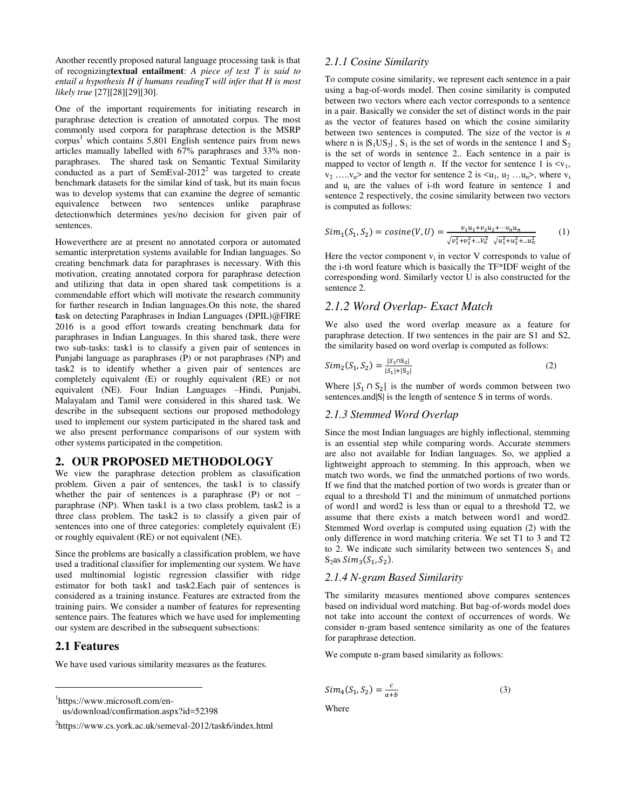Another recently proposed natural language processing task is that of recognizing**textual entailment**: *A piece of text T is said to entail a hypothesis H if humans readingT will infer that H is most likely true* [27][28][29][30].

One of the important requirements for initiating research in paraphrase detection is creation of annotated corpus. The most commonly used corpora for paraphrase detection is the MSRP corpus<sup>1</sup> which contains 5,801 English sentence pairs from news articles manually labelled with 67% paraphrases and 33% nonparaphrases. The shared task on Semantic Textual Similarity conducted as a part of SemEval-2012<sup>2</sup> was targeted to create benchmark datasets for the similar kind of task, but its main focus was to develop systems that can examine the degree of semantic equivalence between two sentences unlike paraphrase detectionwhich determines yes/no decision for given pair of sentences.

Howeverthere are at present no annotated corpora or automated semantic interpretation systems available for Indian languages. So creating benchmark data for paraphrases is necessary. With this motivation, creating annotated corpora for paraphrase detection and utilizing that data in open shared task competitions is a commendable effort which will motivate the research community for further research in Indian languages.On this note, the shared **t**ask on detecting Paraphrases in Indian Languages (DPIL)@FIRE 2016 is a good effort towards creating benchmark data for paraphrases in Indian Languages. In this shared task, there were two sub-tasks: task1 is to classify a given pair of sentences in Punjabi language as paraphrases (P) or not paraphrases (NP) and task2 is to identify whether a given pair of sentences are completely equivalent (E) or roughly equivalent (RE) or not equivalent (NE). Four Indian Languages –Hindi, Punjabi, Malayalam and Tamil were considered in this shared task. We describe in the subsequent sections our proposed methodology used to implement our system participated in the shared task and we also present performance comparisons of our system with other systems participated in the competition.

#### **2. OUR PROPOSED METHODOLOGY**

We view the paraphrase detection problem as classification problem. Given a pair of sentences, the task1 is to classify whether the pair of sentences is a paraphrase (P) or not – paraphrase (NP). When task1 is a two class problem, task2 is a three class problem. The task2 is to classify a given pair of sentences into one of three categories: completely equivalent (E) or roughly equivalent (RE) or not equivalent (NE).

Since the problems are basically a classification problem, we have used a traditional classifier for implementing our system. We have used multinomial logistic regression classifier with ridge estimator for both task1 and task2.Each pair of sentences is considered as a training instance. Features are extracted from the training pairs. We consider a number of features for representing sentence pairs. The features which we have used for implementing our system are described in the subsequent subsections:

#### **2.1 Features**

j

We have used various similarity measures as the features.

1 https://www.microsoft.com/en-

#### *2.1.1 Cosine Similarity*

To compute cosine similarity, we represent each sentence in a pair using a bag-of-words model. Then cosine similarity is computed between two vectors where each vector corresponds to a sentence in a pair. Basically we consider the set of distinct words in the pair as the vector of features based on which the cosine similarity between two sentences is computed. The size of the vector is *n*  where n is  $|S_1US_2|$ ,  $S_1$  is the set of words in the sentence 1 and  $S_2$ is the set of words in sentence 2.. Each sentence in a pair is mapped to vector of length *n*. If the vector for sentence 1 is  $\langle v_1, v_2 \rangle$  $v_2$  ..... $v_n$  and the vector for sentence 2 is  $\langle u_1, u_2 \dots u_n \rangle$ , where  $v_i$ and  $u_i$  are the values of i-th word feature in sentence 1 and sentence 2 respectively, the cosine similarity between two vectors is computed as follows:

$$
Sim_1(S_1, S_2) = cosine(V, U) = \frac{v_1 u_1 + v_2 u_2 + \dots + v_n u_n}{\sqrt{v_1^2 + v_2^2 + \dots + v_n^2} \sqrt{u_1^2 + u_2^2 + \dots + u_n^2}}
$$
(1)

Here the vector component  $v_i$  in vector V corresponds to value of the i-th word feature which is basically the TF\*IDF weight of the corresponding word. Similarly vector U is also constructed for the sentence 2.

### *2.1.2 Word Overlap- Exact Match*

We also used the word overlap measure as a feature for paraphrase detection. If two sentences in the pair are S1 and S2, the similarity based on word overlap is computed as follows:

$$
Sim_2(S_1, S_2) = \frac{|S_1 \cap S_2|}{|S_1| + |S_2|}
$$
 (2)

Where  $|S_1 \cap S_2|$  is the number of words common between two sentences.and  $|S|$  is the length of sentence S in terms of words.

#### *2.1.3 Stemmed Word Overlap*

Since the most Indian languages are highly inflectional, stemming is an essential step while comparing words. Accurate stemmers are also not available for Indian languages. So, we applied a lightweight approach to stemming. In this approach, when we match two words, we find the unmatched portions of two words. If we find that the matched portion of two words is greater than or equal to a threshold T1 and the minimum of unmatched portions of word1 and word2 is less than or equal to a threshold T2, we assume that there exists a match between word1 and word2. Stemmed Word overlap is computed using equation (2) with the only difference in word matching criteria. We set T1 to 3 and T2 to 2. We indicate such similarity between two sentences  $S_1$  and  $S_2$ as  $Sim_3(S_1, S_2)$ .

#### *2.1.4 N-gram Based Similarity*

The similarity measures mentioned above compares sentences based on individual word matching. But bag-of-words model does not take into account the context of occurrences of words. We consider n-gram based sentence similarity as one of the features for paraphrase detection.

We compute n-gram based similarity as follows:

$$
Sim_4(S_1, S_2) = \frac{c}{a+b}
$$
 (3)

Where

us/download/confirmation.aspx?id=52398

<sup>&</sup>lt;sup>2</sup>https://www.cs.york.ac.uk/semeval-2012/task6/index.html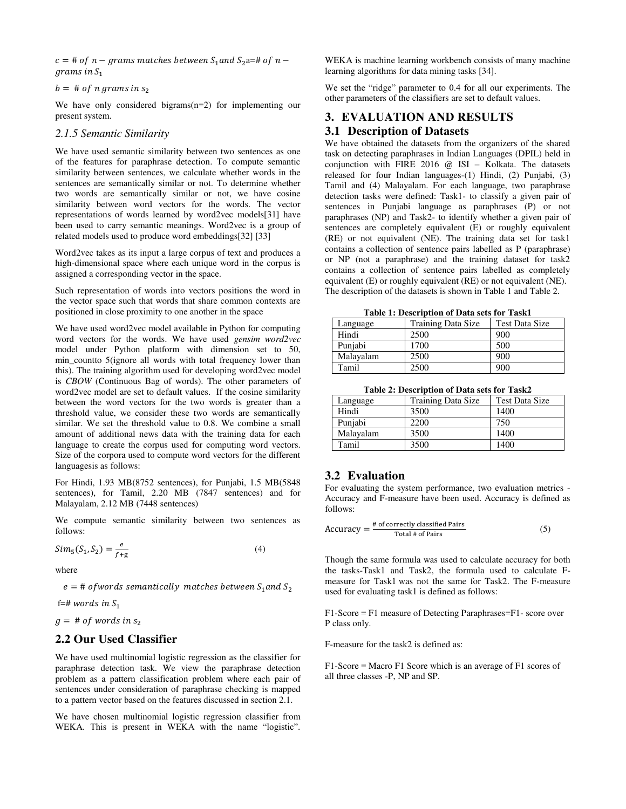$c = #$  of  $n - grams$  matches between  $S_1$  and  $S_2$  a=# of  $n$  $grams$  in  $S_1$ 

 $b = #$  of n grams in  $s_2$ 

We have only considered bigrams(n=2) for implementing our present system.

#### *2.1.5 Semantic Similarity*

We have used semantic similarity between two sentences as one of the features for paraphrase detection. To compute semantic similarity between sentences, we calculate whether words in the sentences are semantically similar or not. To determine whether two words are semantically similar or not, we have cosine similarity between word vectors for the words. The vector representations of words learned by word2vec models[31] have been used to carry semantic meanings. Word2vec is a group of related models used to produce word embeddings[32] [33]

Word2vec takes as its input a large corpus of text and produces a high-dimensional space where each unique word in the corpus is assigned a corresponding vector in the space.

Such representation of words into vectors positions the word in the vector space such that words that share common contexts are positioned in close proximity to one another in the space

We have used word2vec model available in Python for computing word vectors for the words. We have used *gensim word2vec* model under Python platform with dimension set to 50, min\_countto 5(ignore all words with total frequency lower than this). The training algorithm used for developing word2vec model is *CBOW* (Continuous Bag of words). The other parameters of word2vec model are set to default values. If the cosine similarity between the word vectors for the two words is greater than a threshold value, we consider these two words are semantically similar. We set the threshold value to 0.8. We combine a small amount of additional news data with the training data for each language to create the corpus used for computing word vectors. Size of the corpora used to compute word vectors for the different languagesis as follows:

For Hindi, 1.93 MB(8752 sentences), for Punjabi, 1.5 MB(5848 sentences), for Tamil, 2.20 MB (7847 sentences) and for Malayalam, 2.12 MB (7448 sentences)

We compute semantic similarity between two sentences as follows:

$$
Sim_5(S_1, S_2) = \frac{e}{f+g}
$$
\n<sup>(4)</sup>

where

 $e = #$  of words semantically matches between  $S_1$  and  $S_2$ 

f=# words in  $S_1$ 

 $g = # of words in s<sub>2</sub>$ 

# **2.2 Our Used Classifier**

We have used multinomial logistic regression as the classifier for paraphrase detection task. We view the paraphrase detection problem as a pattern classification problem where each pair of sentences under consideration of paraphrase checking is mapped to a pattern vector based on the features discussed in section 2.1.

We have chosen multinomial logistic regression classifier from WEKA. This is present in WEKA with the name "logistic".

WEKA is machine learning workbench consists of many machine learning algorithms for data mining tasks [34].

We set the "ridge" parameter to 0.4 for all our experiments. The other parameters of the classifiers are set to default values.

# **3. EVALUATION AND RESULTS 3.1 Description of Datasets**

We have obtained the datasets from the organizers of the shared task on detecting paraphrases in Indian Languages (DPIL) held in conjunction with FIRE 2016 @ ISI – Kolkata. The datasets released for four Indian languages-(1) Hindi, (2) Punjabi, (3) Tamil and (4) Malayalam. For each language, two paraphrase detection tasks were defined: Task1- to classify a given pair of sentences in Punjabi language as paraphrases (P) or not paraphrases (NP) and Task2- to identify whether a given pair of sentences are completely equivalent (E) or roughly equivalent (RE) or not equivalent (NE). The training data set for task1 contains a collection of sentence pairs labelled as P (paraphrase) or NP (not a paraphrase) and the training dataset for task2 contains a collection of sentence pairs labelled as completely equivalent (E) or roughly equivalent (RE) or not equivalent (NE). The description of the datasets is shown in Table 1 and Table 2.

**Table 1: Description of Data sets for Task1** 

| Language  | Training Data Size | <b>Test Data Size</b> |
|-----------|--------------------|-----------------------|
| Hindi     | 2500               | 900                   |
| Punjabi   | 1700               | 500                   |
| Malayalam | 2500               | 900                   |
| Tamil     | 2500               | 900                   |

**Table 2: Description of Data sets for Task2** 

| Language  | Training Data Size | Test Data Size |
|-----------|--------------------|----------------|
| Hindi     | 3500               | 1400           |
| Punjabi   | 2200               | 750            |
| Malayalam | 3500               | 1400           |
| Tamil     | 3500               | 1400           |

# **3.2 Evaluation**

For evaluating the system performance, two evaluation metrics - Accuracy and F-measure have been used. Accuracy is defined as follows:

$$
Accuracy = \frac{\text{\# of correctly classified Pairs}}{\text{Total \# of Pairs}} \tag{5}
$$

Though the same formula was used to calculate accuracy for both the tasks-Task1 and Task2, the formula used to calculate Fmeasure for Task1 was not the same for Task2. The F-measure used for evaluating task1 is defined as follows:

F1-Score = F1 measure of Detecting Paraphrases=F1- score over P class only.

F-measure for the task2 is defined as:

F1-Score = Macro F1 Score which is an average of F1 scores of all three classes -P, NP and SP.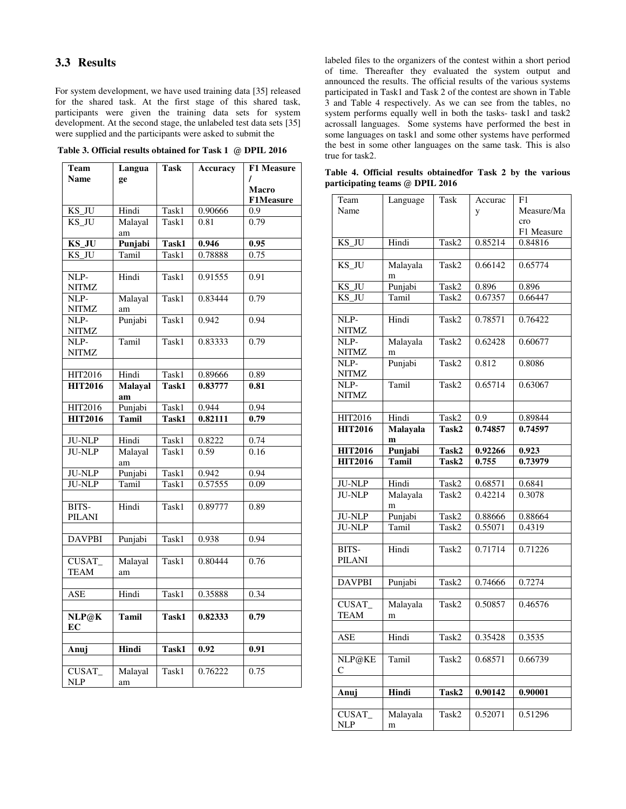# **3.3 Results**

For system development, we have used training data [35] released for the shared task. At the first stage of this shared task, participants were given the training data sets for system development. At the second stage, the unlabeled test data sets [35] were supplied and the participants were asked to submit the

**Table 3. Official results obtained for Task 1 @ DPIL 2016**

| Team           | Langua         | Task  | Accuracy | <b>F1 Measure</b> |
|----------------|----------------|-------|----------|-------------------|
| <b>Name</b>    | ge             |       |          |                   |
|                |                |       |          | Macro             |
|                |                |       |          | <b>F1Measure</b>  |
| KS_JU          | Hindi          | Task1 | 0.90666  | 0.9               |
| KS_JU          | Malayal        | Task1 | 0.81     | 0.79              |
|                | am             |       |          |                   |
| KS_JU          | Punjabi        | Task1 | 0.946    | 0.95              |
| KS_JU          | Tamil          | Task1 | 0.78888  | 0.75              |
|                |                |       |          |                   |
| NLP-           | Hindi          | Task1 | 0.91555  | 0.91              |
| NITMZ          |                |       |          |                   |
| NLP-           | Malayal        | Task1 | 0.83444  | 0.79              |
| <b>NITMZ</b>   | am             |       |          |                   |
| NLP-           | Punjabi        | Task1 | 0.942    | 0.94              |
| <b>NITMZ</b>   |                |       |          |                   |
| NLP-           | Tamil          | Task1 | 0.83333  | 0.79              |
| NITMZ          |                |       |          |                   |
|                |                |       |          |                   |
| <b>HIT2016</b> | Hindi          | Task1 | 0.89666  | 0.89              |
| <b>HIT2016</b> | <b>Malayal</b> | Task1 | 0.83777  | 0.81              |
|                | am             |       |          |                   |
| HIT2016        | Punjabi        | Task1 | 0.944    | 0.94              |
| <b>HIT2016</b> | <b>Tamil</b>   | Task1 | 0.82111  | 0.79              |
|                |                |       |          |                   |
| <b>JU-NLP</b>  | Hindi          | Task1 | 0.8222   | 0.74              |
| <b>JU-NLP</b>  | Malayal        | Task1 | 0.59     | 0.16              |
|                | am             |       |          |                   |
| <b>JU-NLP</b>  | Punjabi        | Task1 | 0.942    | 0.94              |
| <b>JU-NLP</b>  | Tamil          | Task1 | 0.57555  | 0.09              |
|                |                |       |          |                   |
| BITS-          | Hindi          | Task1 | 0.89777  | 0.89              |
| <b>PILANI</b>  |                |       |          |                   |
|                |                |       |          |                   |
| <b>DAVPBI</b>  | Punjabi        | Task1 | 0.938    | 0.94              |
|                |                |       |          |                   |
| CUSAT          | Malayal        | Task1 | 0.80444  | 0.76              |
| <b>TEAM</b>    | am             |       |          |                   |
|                |                |       |          |                   |
| ASE            | Hindi          | Task1 | 0.35888  | 0.34              |
|                |                |       |          |                   |
| NLP@K          | <b>Tamil</b>   | Task1 | 0.82333  | 0.79              |
| EC             |                |       |          |                   |
|                |                |       |          |                   |
| Anuj           | Hindi          | Task1 | 0.92     | 0.91              |
|                |                |       |          |                   |
| CUSAT_         | Malayal        | Task1 | 0.76222  | 0.75              |
| <b>NLP</b>     | am             |       |          |                   |

labeled files to the organizers of the contest within a short period of time. Thereafter they evaluated the system output and announced the results. The official results of the various systems participated in Task1 and Task 2 of the contest are shown in Table 3 and Table 4 respectively. As we can see from the tables, no system performs equally well in both the tasks- task1 and task2 acrossall languages. Some systems have performed the best in some languages on task1 and some other systems have performed the best in some other languages on the same task. This is also true for task2.

| Team               | Language                        | Task  | Accurac | F1         |
|--------------------|---------------------------------|-------|---------|------------|
| Name               |                                 |       | y       | Measure/Ma |
|                    |                                 |       |         | cro        |
|                    |                                 |       |         | F1 Measure |
| $KS_J\overline{U}$ | Hindi                           | Task2 | 0.85214 | 0.84816    |
|                    |                                 |       |         |            |
| KS_JU              | Malayala                        | Task2 | 0.66142 | 0.65774    |
|                    | m                               |       |         |            |
| KS_JU              | Punjabi                         | Task2 | 0.896   | 0.896      |
| KS JU              | Tamil                           | Task2 | 0.67357 | 0.66447    |
|                    |                                 |       |         |            |
| NLP-               | Hindi                           | Task2 | 0.78571 | 0.76422    |
| NITMZ              |                                 |       |         |            |
| NLP-               | Malayala                        | Task2 | 0.62428 | 0.60677    |
| <b>NITMZ</b>       | m                               |       |         |            |
| NLP-               | Punjabi                         | Task2 | 0.812   | 0.8086     |
| NITMZ              |                                 |       |         |            |
| NLP-               | Tamil                           | Task2 | 0.65714 | 0.63067    |
| <b>NITMZ</b>       |                                 |       |         |            |
|                    |                                 |       |         |            |
| HIT2016            | Hindi                           | Task2 | 0.9     | 0.89844    |
| <b>HIT2016</b>     | <b>Malayala</b><br>$\mathbf{m}$ | Task2 | 0.74857 | 0.74597    |
| <b>HIT2016</b>     | Punjabi                         | Task2 | 0.92266 | 0.923      |
| <b>HIT2016</b>     | <b>Tamil</b>                    | Task2 | 0.755   | 0.73979    |
|                    |                                 |       |         |            |
| <b>JU-NLP</b>      | Hindi                           | Task2 | 0.68571 | 0.6841     |
| <b>JU-NLP</b>      | Malayala                        | Task2 | 0.42214 | 0.3078     |
|                    | m                               |       |         |            |
| <b>JU-NLP</b>      | Punjabi                         | Task2 | 0.88666 | 0.88664    |
| <b>JU-NLP</b>      | Tamil                           | Task2 | 0.55071 | 0.4319     |
|                    |                                 |       |         |            |
| BITS-              | Hindi                           | Task2 | 0.71714 | 0.71226    |
| PILANI             |                                 |       |         |            |
|                    |                                 |       |         |            |
| <b>DAVPBI</b>      | Punjabi                         | Task2 | 0.74666 | 0.7274     |
|                    |                                 |       |         |            |
| <b>CUSAT</b>       | Malayala                        | Task2 | 0.50857 | 0.46576    |
| <b>TEAM</b>        | m                               |       |         |            |
|                    |                                 |       |         |            |
| <b>ASE</b>         | Hindi                           | Task2 | 0.35428 | 0.3535     |
|                    |                                 |       |         |            |
| NLP@KE             | Tamil                           | Task2 | 0.68571 | 0.66739    |
| С                  |                                 |       |         |            |
|                    |                                 |       |         |            |
| Anuj               | Hindi                           | Task2 | 0.90142 | 0.90001    |
|                    |                                 |       |         |            |
| CUSAT_             | Malayala                        | Task2 | 0.52071 | 0.51296    |
| <b>NLP</b>         | m                               |       |         |            |

**Table 4. Official results obtainedfor Task 2 by the various participating teams @ DPIL 2016**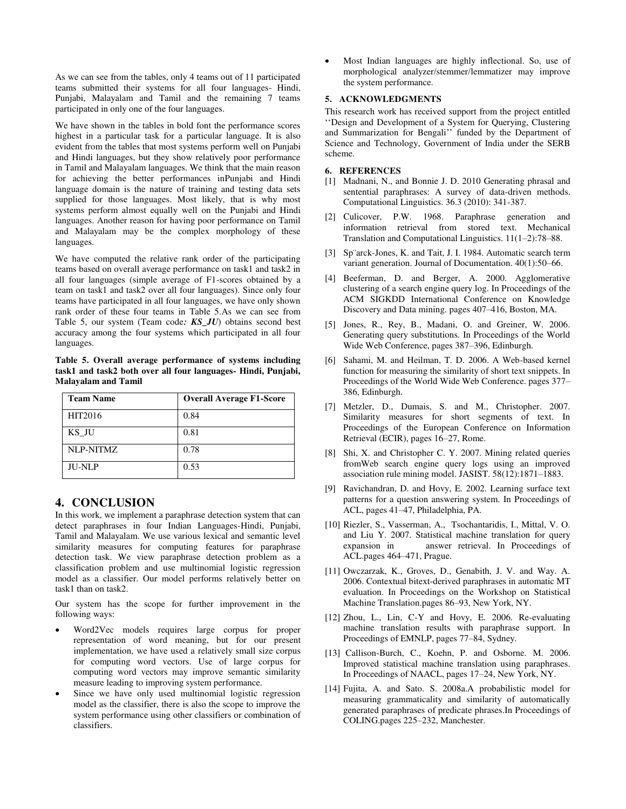As we can see from the tables, only 4 teams out of 11 participated teams submitted their systems for all four languages- Hindi, Punjabi, Malayalam and Tamil and the remaining 7 teams participated in only one of the four languages.

We have shown in the tables in bold font the performance scores highest in a particular task for a particular language. It is also evident from the tables that most systems perform well on Punjabi and Hindi languages, but they show relatively poor performance in Tamil and Malayalam languages. We think that the main reason for achieving the better performances inPunjabi and Hindi language domain is the nature of training and testing data sets supplied for those languages. Most likely, that is why most systems perform almost equally well on the Punjabi and Hindi languages. Another reason for having poor performance on Tamil and Malayalam may be the complex morphology of these languages.

We have computed the relative rank order of the participating teams based on overall average performance on task1 and task2 in all four languages (simple average of F1-scores obtained by a team on task1 and task2 over all four languages). Since only four teams have participated in all four languages, we have only shown rank order of these four teams in Table 5.As we can see from Table 5, our system (Team code*: KS\_JU*) obtains second best accuracy among the four systems which participated in all four languages.

**Table 5. Overall average performance of systems including task1 and task2 both over all four languages- Hindi, Punjabi, Malayalam and Tamil** 

| <b>Team Name</b> | <b>Overall Average F1-Score</b> |
|------------------|---------------------------------|
| HIT2016          | 0.84                            |
| KS JU            | 0.81                            |
| NLP-NITMZ        | 0.78                            |
| <b>JU-NLP</b>    | 0.53                            |

# **4. CONCLUSION**

In this work, we implement a paraphrase detection system that can detect paraphrases in four Indian Languages-Hindi, Punjabi, Tamil and Malayalam. We use various lexical and semantic level similarity measures for computing features for paraphrase detection task. We view paraphrase detection problem as a classification problem and use multinomial logistic regression model as a classifier. Our model performs relatively better on task1 than on task2.

Our system has the scope for further improvement in the following ways:

- Word2Vec models requires large corpus for proper representation of word meaning, but for our present implementation, we have used a relatively small size corpus for computing word vectors. Use of large corpus for computing word vectors may improve semantic similarity measure leading to improving system performance.
- Since we have only used multinomial logistic regression model as the classifier, there is also the scope to improve the system performance using other classifiers or combination of classifiers.

 Most Indian languages are highly inflectional. So, use of morphological analyzer/stemmer/lemmatizer may improve the system performance.

#### **5. ACKNOWLEDGMENTS**

This research work has received support from the project entitled ''Design and Development of a System for Querying, Clustering and Summarization for Bengali'' funded by the Department of Science and Technology, Government of India under the SERB scheme.

#### **6. REFERENCES**

- [1] Madnani, N., and Bonnie J. D. 2010 Generating phrasal and sentential paraphrases: A survey of data-driven methods. Computational Linguistics. 36.3 (2010): 341-387.
- [2] Culicover, P.W. 1968. Paraphrase generation and information retrieval from stored text. Mechanical Translation and Computational Linguistics. 11(1–2):78–88.
- [3] Sp¨arck-Jones, K. and Tait, J. I. 1984. Automatic search term variant generation. Journal of Documentation. 40(1):50–66.
- [4] Beeferman, D. and Berger, A. 2000. Agglomerative clustering of a search engine query log. In Proceedings of the ACM SIGKDD International Conference on Knowledge Discovery and Data mining. pages 407–416, Boston, MA.
- [5] Jones, R., Rey, B., Madani, O. and Greiner, W. 2006. Generating query substitutions. In Proceedings of the World Wide Web Conference, pages 387–396, Edinburgh.
- [6] Sahami, M. and Heilman, T. D. 2006. A Web-based kernel function for measuring the similarity of short text snippets. In Proceedings of the World Wide Web Conference. pages 377– 386, Edinburgh.
- [7] Metzler, D., Dumais, S. and M., Christopher. 2007. Similarity measures for short segments of text. In Proceedings of the European Conference on Information Retrieval (ECIR), pages 16–27, Rome.
- [8] Shi, X. and Christopher C. Y. 2007. Mining related queries fromWeb search engine query logs using an improved association rule mining model. JASIST. 58(12):1871–1883.
- [9] Ravichandran, D. and Hovy, E. 2002. Learning surface text patterns for a question answering system. In Proceedings of ACL, pages 41–47, Philadelphia, PA.
- [10] Riezler, S., Vasserman, A., Tsochantaridis, I., Mittal, V. O. and Liu Y. 2007. Statistical machine translation for query expansion in answer retrieval. In Proceedings of answer retrieval. In Proceedings of ACL.pages 464–471, Prague.
- [11] Owczarzak, K., Groves, D., Genabith, J. V. and Way. A. 2006. Contextual bitext-derived paraphrases in automatic MT evaluation. In Proceedings on the Workshop on Statistical Machine Translation.pages 86–93, New York, NY.
- [12] Zhou, L., Lin, C-Y and Hovy, E. 2006. Re-evaluating machine translation results with paraphrase support. In Proceedings of EMNLP, pages 77–84, Sydney.
- [13] Callison-Burch, C., Koehn, P. and Osborne. M. 2006. Improved statistical machine translation using paraphrases. In Proceedings of NAACL, pages 17–24, New York, NY.
- [14] Fujita, A. and Sato. S. 2008a.A probabilistic model for measuring grammaticality and similarity of automatically generated paraphrases of predicate phrases.In Proceedings of COLING.pages 225–232, Manchester.